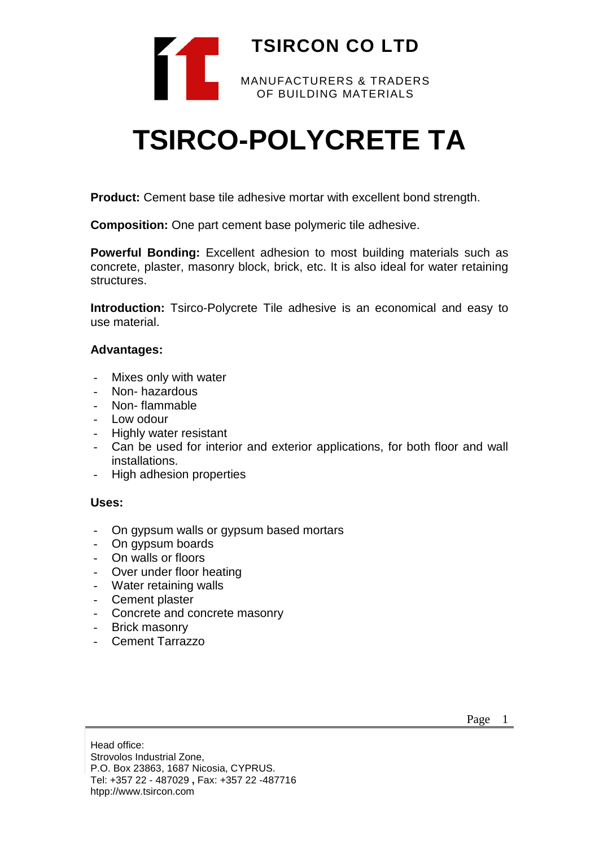

# **TSIRCO-POLYCRETE TA**

**Product:** Cement base tile adhesive mortar with excellent bond strength.

**Composition:** One part cement base polymeric tile adhesive.

**Powerful Bonding:** Excellent adhesion to most building materials such as concrete, plaster, masonry block, brick, etc. It is also ideal for water retaining structures.

**Introduction:** Tsirco-Polycrete Tile adhesive is an economical and easy to use material.

### **Advantages:**

- Mixes only with water
- Non- hazardous
- Non- flammable
- Low odour
- Highly water resistant
- Can be used for interior and exterior applications, for both floor and wall installations.
- High adhesion properties

### **Uses:**

- On gypsum walls or gypsum based mortars
- On gypsum boards
- On walls or floors
- Over under floor heating
- Water retaining walls
- Cement plaster
- Concrete and concrete masonry
- Brick masonry
- Cement Tarrazzo

Head office: Strovolos Industrial Zone, P.O. Box 23863, 1687 Nicosia, CYPRUS. Tel: +357 22 - 487029 **,** Fax: +357 22 -487716 htpp://www.tsircon.com